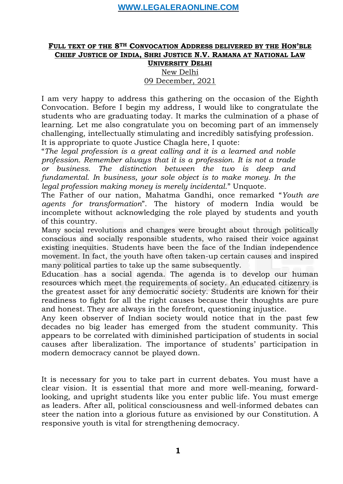#### **FULL TEXT OF THE 8TH CONVOCATION ADDRESS DELIVERED BY THE HON'BLE CHIEF JUSTICE OF INDIA, SHRI JUSTICE N.V. RAMANA AT NATIONAL LAW UNIVERSITY DELHI**

New Delhi 09 December, 2021

I am very happy to address this gathering on the occasion of the Eighth Convocation. Before I begin my address, I would like to congratulate the students who are graduating today. It marks the culmination of a phase of learning. Let me also congratulate you on becoming part of an immensely challenging, intellectually stimulating and incredibly satisfying profession. It is appropriate to quote Justice Chagla here, I quote:

"*The legal profession is a great calling and it is a learned and noble profession. Remember always that it is a profession. It is not a trade or business. The distinction between the two is deep and fundamental. In business, your sole object is to make money. In the legal profession making money is merely incidental*." Unquote.

The Father of our nation, Mahatma Gandhi, once remarked "*Youth are agents for transformation*". The history of modern India would be incomplete without acknowledging the role played by students and youth of this country.

Many social revolutions and changes were brought about through politically conscious and socially responsible students, who raised their voice against existing inequities. Students have been the face of the Indian independence movement. In fact, the youth have often taken-up certain causes and inspired many political parties to take up the same subsequently.

Education has a social agenda. The agenda is to develop our human resources which meet the requirements of society. An educated citizenry is the greatest asset for any democratic society. Students are known for their readiness to fight for all the right causes because their thoughts are pure and honest. They are always in the forefront, questioning injustice.

Any keen observer of Indian society would notice that in the past few decades no big leader has emerged from the student community. This appears to be correlated with diminished participation of students in social causes after liberalization. The importance of students' participation in modern democracy cannot be played down.

It is necessary for you to take part in current debates. You must have a clear vision. It is essential that more and more well-meaning, forwardlooking, and upright students like you enter public life. You must emerge as leaders. After all, political consciousness and well-informed debates can steer the nation into a glorious future as envisioned by our Constitution. A responsive youth is vital for strengthening democracy.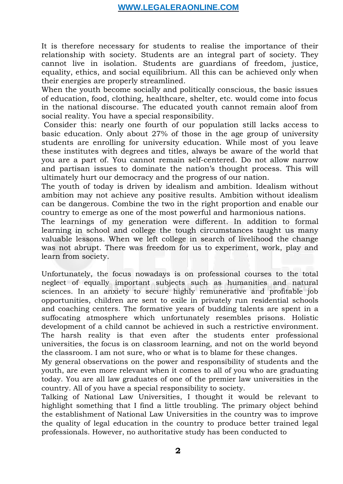It is therefore necessary for students to realise the importance of their relationship with society. Students are an integral part of society. They cannot live in isolation. Students are guardians of freedom, justice, equality, ethics, and social equilibrium. All this can be achieved only when their energies are properly streamlined.

When the youth become socially and politically conscious, the basic issues of education, food, clothing, healthcare, shelter, etc. would come into focus in the national discourse. The educated youth cannot remain aloof from social reality. You have a special responsibility.

Consider this: nearly one fourth of our population still lacks access to basic education. Only about 27% of those in the age group of university students are enrolling for university education. While most of you leave these institutes with degrees and titles, always be aware of the world that you are a part of. You cannot remain self-centered. Do not allow narrow and partisan issues to dominate the nation's thought process. This will ultimately hurt our democracy and the progress of our nation.

The youth of today is driven by idealism and ambition. Idealism without ambition may not achieve any positive results. Ambition without idealism can be dangerous. Combine the two in the right proportion and enable our country to emerge as one of the most powerful and harmonious nations.

The learnings of my generation were different. In addition to formal learning in school and college the tough circumstances taught us many valuable lessons. When we left college in search of livelihood the change was not abrupt. There was freedom for us to experiment, work, play and learn from society.

Unfortunately, the focus nowadays is on professional courses to the total neglect of equally important subjects such as humanities and natural sciences. In an anxiety to secure highly remunerative and profitable job opportunities, children are sent to exile in privately run residential schools and coaching centers. The formative years of budding talents are spent in a suffocating atmosphere which unfortunately resembles prisons. Holistic development of a child cannot be achieved in such a restrictive environment. The harsh reality is that even after the students enter professional universities, the focus is on classroom learning, and not on the world beyond the classroom. I am not sure, who or what is to blame for these changes.

My general observations on the power and responsibility of students and the youth, are even more relevant when it comes to all of you who are graduating today. You are all law graduates of one of the premier law universities in the country. All of you have a special responsibility to society.

Talking of National Law Universities, I thought it would be relevant to highlight something that I find a little troubling. The primary object behind the establishment of National Law Universities in the country was to improve the quality of legal education in the country to produce better trained legal professionals. However, no authoritative study has been conducted to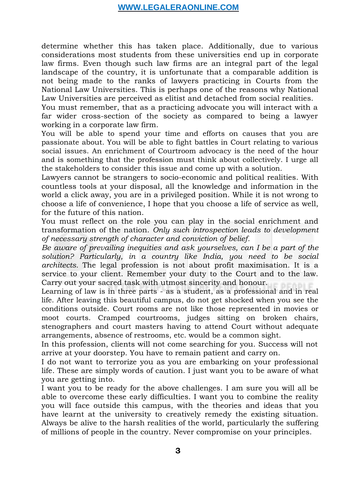determine whether this has taken place. Additionally, due to various considerations most students from these universities end up in corporate law firms. Even though such law firms are an integral part of the legal landscape of the country, it is unfortunate that a comparable addition is not being made to the ranks of lawyers practicing in Courts from the National Law Universities. This is perhaps one of the reasons why National Law Universities are perceived as elitist and detached from social realities.

You must remember, that as a practicing advocate you will interact with a far wider cross-section of the society as compared to being a lawyer working in a corporate law firm.

You will be able to spend your time and efforts on causes that you are passionate about. You will be able to fight battles in Court relating to various social issues. An enrichment of Courtroom advocacy is the need of the hour and is something that the profession must think about collectively. I urge all the stakeholders to consider this issue and come up with a solution.

Lawyers cannot be strangers to socio-economic and political realities. With countless tools at your disposal, all the knowledge and information in the world a click away, you are in a privileged position. While it is not wrong to choose a life of convenience, I hope that you choose a life of service as well, for the future of this nation.

You must reflect on the role you can play in the social enrichment and transformation of the nation. *Only such introspection leads to development of necessary strength of character and conviction of belief.*

*Be aware of prevailing inequities and ask yourselves, can I be a part of the solution? Particularly, in a country like India, you need to be social architects.* The legal profession is not about profit maximisation. It is a service to your client. Remember your duty to the Court and to the law. Carry out your sacred task with utmost sincerity and honour.

Learning of law is in three parts - as a student, as a professional and in real life. After leaving this beautiful campus, do not get shocked when you see the conditions outside. Court rooms are not like those represented in movies or moot courts. Cramped courtrooms, judges sitting on broken chairs, stenographers and court masters having to attend Court without adequate arrangements, absence of restrooms, etc. would be a common sight.

In this profession, clients will not come searching for you. Success will not arrive at your doorstep. You have to remain patient and carry on.

I do not want to terrorize you as you are embarking on your professional life. These are simply words of caution. I just want you to be aware of what you are getting into.

I want you to be ready for the above challenges. I am sure you will all be able to overcome these early difficulties. I want you to combine the reality you will face outside this campus, with the theories and ideas that you have learnt at the university to creatively remedy the existing situation. Always be alive to the harsh realities of the world, particularly the suffering of millions of people in the country. Never compromise on your principles.